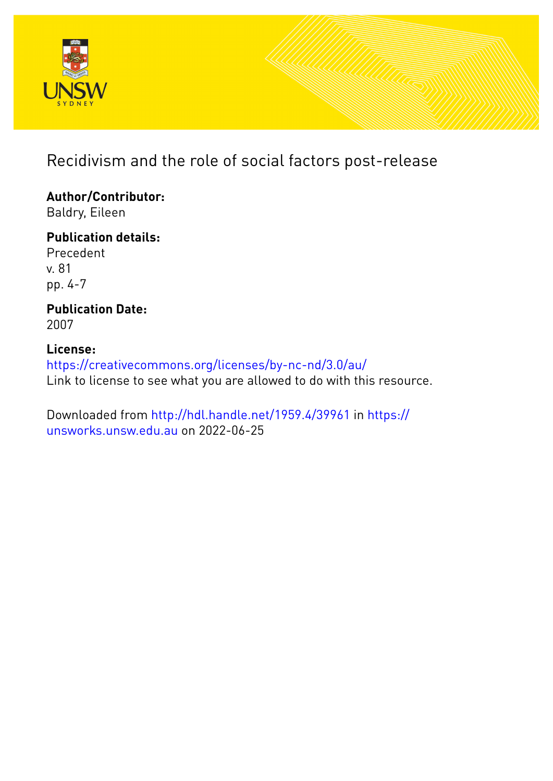

# Recidivism and the role of social factors post-release

**Author/Contributor:** Baldry, Eileen

**Publication details:** Precedent v. 81 pp. 4-7

**Publication Date:** 2007

# **License:** <https://creativecommons.org/licenses/by-nc-nd/3.0/au/> Link to license to see what you are allowed to do with this resource.

Downloaded from <http://hdl.handle.net/1959.4/39961> in [https://](https://unsworks.unsw.edu.au) [unsworks.unsw.edu.au](https://unsworks.unsw.edu.au) on 2022-06-25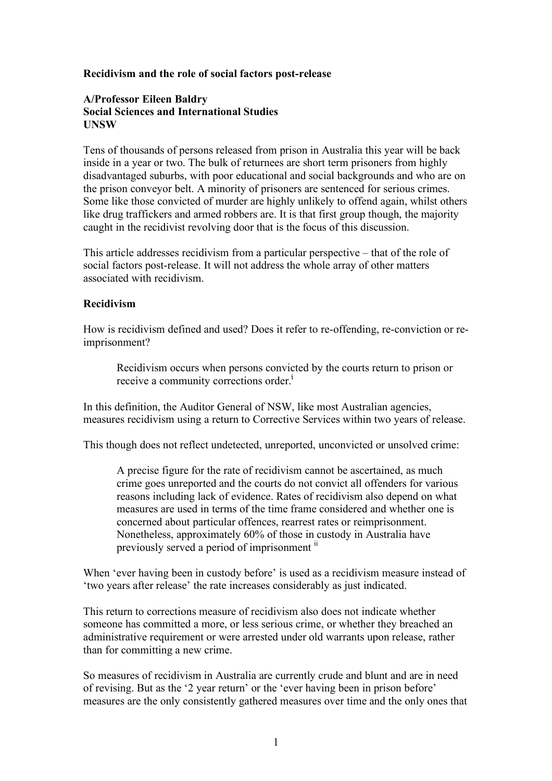#### **Recidivism and the role of social factors post-release**

#### **A/Professor Eileen Baldry Social Sciences and International Studies UNSW**

Tens of thousands of persons released from prison in Australia this year will be back inside in a year or two. The bulk of returnees are short term prisoners from highly disadvantaged suburbs, with poor educational and social backgrounds and who are on the prison conveyor belt. A minority of prisoners are sentenced for serious crimes. Some like those convicted of murder are highly unlikely to offend again, whilst others like drug traffickers and armed robbers are. It is that first group though, the majority caught in the recidivist revolving door that is the focus of this discussion.

This article addresses recidivism from a particular perspective – that of the role of social factors post-release. It will not address the whole array of other matters associated with recidivism.

#### **Recidivism**

How is recidivism defined and used? Does it refer to re-offending, re-conviction or reimprisonment?

Recidivism occurs when persons convicted by the courts return to prison or receive a community corrections order.<sup>i</sup>

In this definition, the Auditor General of NSW, like most Australian agencies, measures recidivism using a return to Corrective Services within two years of release.

This though does not reflect undetected, unreported, unconvicted or unsolved crime:

A precise figure for the rate of recidivism cannot be ascertained, as much crime goes unreported and the courts do not convict all offenders for various reasons including lack of evidence. Rates of recidivism also depend on what measures are used in terms of the time frame considered and whether one is concerned about particular offences, rearrest rates or reimprisonment. Nonetheless, approximately 60% of those in custody in Australia have previously served a period of imprisonment  $\ddot{u}$ 

When 'ever having been in custody before' is used as a recidivism measure instead of 'two years after release' the rate increases considerably as just indicated.

This return to corrections measure of recidivism also does not indicate whether someone has committed a more, or less serious crime, or whether they breached an administrative requirement or were arrested under old warrants upon release, rather than for committing a new crime.

So measures of recidivism in Australia are currently crude and blunt and are in need of revising. But as the '2 year return' or the 'ever having been in prison before' measures are the only consistently gathered measures over time and the only ones that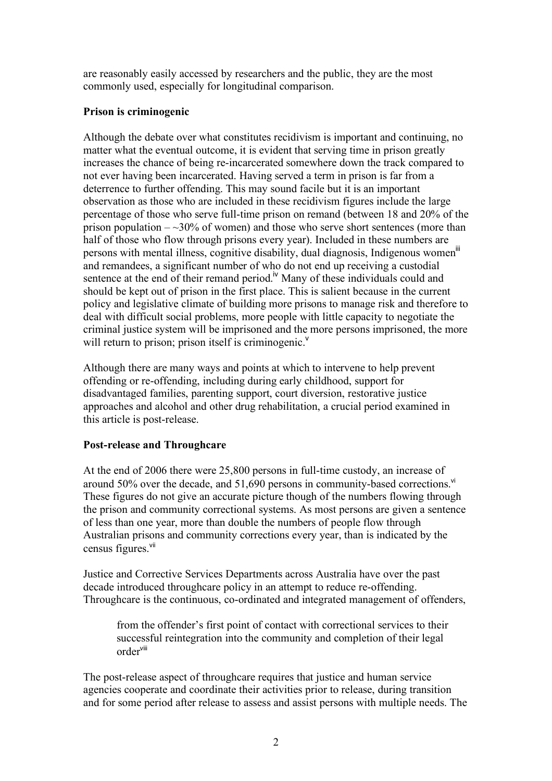are reasonably easily accessed by researchers and the public, they are the most commonly used, especially for longitudinal comparison.

### **Prison is criminogenic**

Although the debate over what constitutes recidivism is important and continuing, no matter what the eventual outcome, it is evident that serving time in prison greatly increases the chance of being re-incarcerated somewhere down the track compared to not ever having been incarcerated. Having served a term in prison is far from a deterrence to further offending. This may sound facile but it is an important observation as those who are included in these recidivism figures include the large percentage of those who serve full-time prison on remand (between 18 and 20% of the prison population  $-\infty$ 30% of women) and those who serve short sentences (more than half of those who flow through prisons every year). Included in these numbers are persons with mental illness, cognitive disability, dual diagnosis, Indigenous women<sup>iii</sup> and remandees, a significant number of who do not end up receiving a custodial sentence at the end of their remand period.<sup> $iv$ </sup> Many of these individuals could and should be kept out of prison in the first place. This is salient because in the current policy and legislative climate of building more prisons to manage risk and therefore to deal with difficult social problems, more people with little capacity to negotiate the criminal justice system will be imprisoned and the more persons imprisoned, the more will return to prison; prison itself is criminogenic.<sup>v</sup>

Although there are many ways and points at which to intervene to help prevent offending or re-offending, including during early childhood, support for disadvantaged families, parenting support, court diversion, restorative justice approaches and alcohol and other drug rehabilitation, a crucial period examined in this article is post-release.

## **Post-release and Throughcare**

At the end of 2006 there were 25,800 persons in full-time custody, an increase of around 50% over the decade, and 51,690 persons in community-based corrections. vi These figures do not give an accurate picture though of the numbers flowing through the prison and community correctional systems. As most persons are given a sentence of less than one year, more than double the numbers of people flow through Australian prisons and community corrections every year, than is indicated by the census figures.<sup>vii</sup>

Justice and Corrective Services Departments across Australia have over the past decade introduced throughcare policy in an attempt to reduce re-offending. Throughcare is the continuous, co-ordinated and integrated management of offenders,

from the offender's first point of contact with correctional services to their successful reintegration into the community and completion of their legal order viii

The post-release aspect of throughcare requires that justice and human service agencies cooperate and coordinate their activities prior to release, during transition and for some period after release to assess and assist persons with multiple needs. The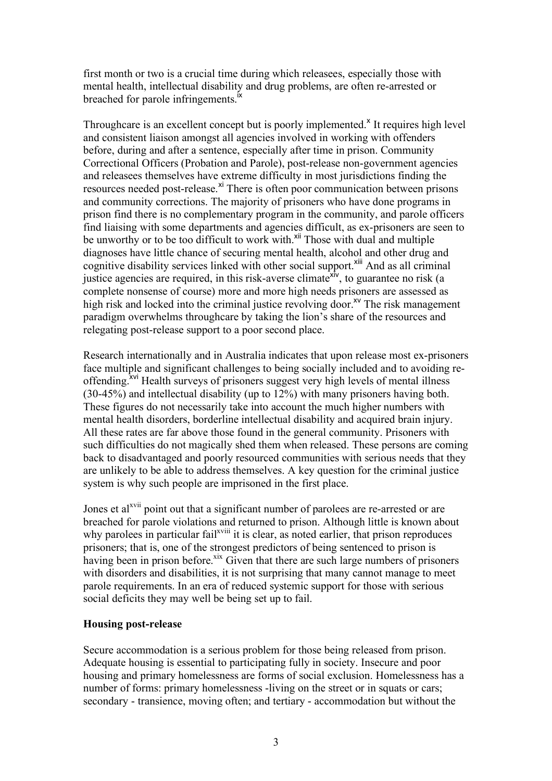first month or two is a crucial time during which releasees, especially those with mental health, intellectual disability and drug problems, are often re-arrested or breached for parole infringements.<sup>Ix</sup>

Throughcare is an excellent concept but is poorly implemented.<sup> $x$ </sup> It requires high level and consistent liaison amongst all agencies involved in working with offenders before, during and after a sentence, especially after time in prison. Community Correctional Officers (Probation and Parole), post-release non-government agencies and releasees themselves have extreme difficulty in most jurisdictions finding the resources needed post-release.<sup>xi</sup> There is often poor communication between prisons and community corrections. The majority of prisoners who have done programs in prison find there is no complementary program in the community, and parole officers find liaising with some departments and agencies difficult, as ex-prisoners are seen to be unworthy or to be too difficult to work with.<sup>xii</sup> Those with dual and multiple diagnoses have little chance of securing mental health, alcohol and other drug and cognitive disability services linked with other social support.<sup>xiii</sup> And as all criminal justice agencies are required, in this risk-averse climate<sup>xiv</sup>, to guarantee no risk (a complete nonsense of course) more and more high needs prisoners are assessed as high risk and locked into the criminal justice revolving door.<sup>xv</sup> The risk management paradigm overwhelms throughcare by taking the lion's share of the resources and relegating post-release support to a poor second place.

Research internationally and in Australia indicates that upon release most ex-prisoners face multiple and significant challenges to being socially included and to avoiding reoffending. <sup>Xvi</sup> Health surveys of prisoners suggest very high levels of mental illness (30-45%) and intellectual disability (up to 12%) with many prisoners having both. These figures do not necessarily take into account the much higher numbers with mental health disorders, borderline intellectual disability and acquired brain injury. All these rates are far above those found in the general community. Prisoners with such difficulties do not magically shed them when released. These persons are coming back to disadvantaged and poorly resourced communities with serious needs that they are unlikely to be able to address themselves. A key question for the criminal justice system is why such people are imprisoned in the first place.

Jones et al<sup>xvii</sup> point out that a significant number of parolees are re-arrested or are breached for parole violations and returned to prison. Although little is known about why parolees in particular fail<sup>xviii</sup> it is clear, as noted earlier, that prison reproduces prisoners; that is, one of the strongest predictors of being sentenced to prison is having been in prison before.<sup>xix</sup> Given that there are such large numbers of prisoners with disorders and disabilities, it is not surprising that many cannot manage to meet parole requirements. In an era of reduced systemic support for those with serious social deficits they may well be being set up to fail.

#### **Housing post-release**

Secure accommodation is a serious problem for those being released from prison. Adequate housing is essential to participating fully in society. Insecure and poor housing and primary homelessness are forms of social exclusion. Homelessness has a number of forms: primary homelessness -living on the street or in squats or cars; secondary - transience, moving often; and tertiary - accommodation but without the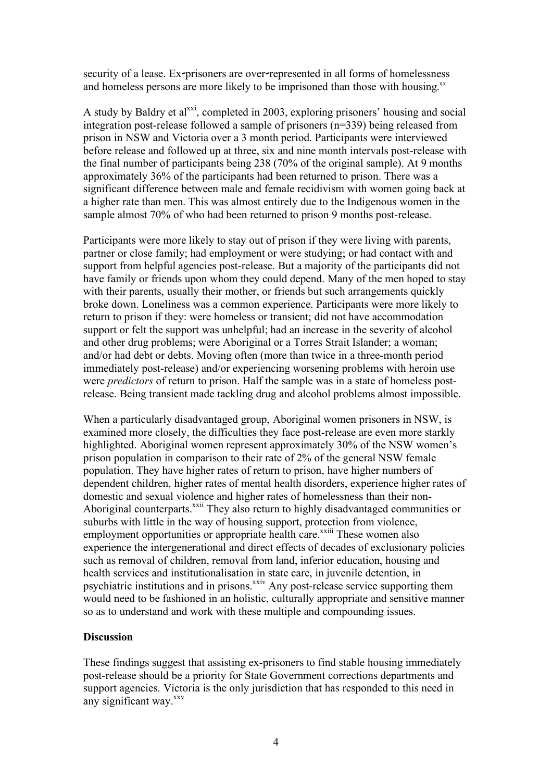security of a lease. Ex-prisoners are over-represented in all forms of homelessness and homeless persons are more likely to be imprisoned than those with housing.<sup>xx</sup>

A study by Baldry et al<sup>xxi</sup>, completed in 2003, exploring prisoners' housing and social integration post-release followed a sample of prisoners (n=339) being released from prison in NSW and Victoria over a 3 month period. Participants were interviewed before release and followed up at three, six and nine month intervals post-release with the final number of participants being 238 (70% of the original sample). At 9 months approximately 36% of the participants had been returned to prison. There was a significant difference between male and female recidivism with women going back at a higher rate than men. This was almost entirely due to the Indigenous women in the sample almost 70% of who had been returned to prison 9 months post-release.

Participants were more likely to stay out of prison if they were living with parents, partner or close family; had employment or were studying; or had contact with and support from helpful agencies post-release. But a majority of the participants did not have family or friends upon whom they could depend. Many of the men hoped to stay with their parents, usually their mother, or friends but such arrangements quickly broke down. Loneliness was a common experience. Participants were more likely to return to prison if they: were homeless or transient; did not have accommodation support or felt the support was unhelpful; had an increase in the severity of alcohol and other drug problems; were Aboriginal or a Torres Strait Islander; a woman; and/or had debt or debts. Moving often (more than twice in a three-month period immediately post-release) and/or experiencing worsening problems with heroin use were *predictors* of return to prison. Half the sample was in a state of homeless postrelease. Being transient made tackling drug and alcohol problems almost impossible.

When a particularly disadvantaged group, Aboriginal women prisoners in NSW, is examined more closely, the difficulties they face post-release are even more starkly highlighted. Aboriginal women represent approximately 30% of the NSW women's prison population in comparison to their rate of 2% of the general NSW female population. They have higher rates of return to prison, have higher numbers of dependent children, higher rates of mental health disorders, experience higher rates of domestic and sexual violence and higher rates of homelessness than their non-Aboriginal counterparts.<sup>xxii</sup> They also return to highly disadvantaged communities or suburbs with little in the way of housing support, protection from violence, employment opportunities or appropriate health care.<sup>xxiii</sup> These women also experience the intergenerational and direct effects of decades of exclusionary policies such as removal of children, removal from land, inferior education, housing and health services and institutionalisation in state care, in juvenile detention, in psychiatric institutions and in prisons.<sup>xxiv</sup> Any post-release service supporting them would need to be fashioned in an holistic, culturally appropriate and sensitive manner so as to understand and work with these multiple and compounding issues.

#### **Discussion**

These findings suggest that assisting ex-prisoners to find stable housing immediately post-release should be a priority for State Government corrections departments and support agencies. Victoria is the only jurisdiction that has responded to this need in any significant way.<sup>xxv</sup>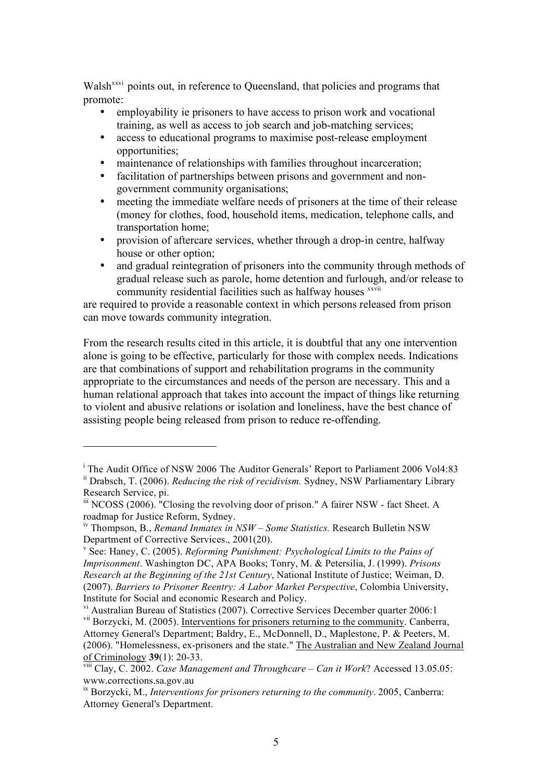Walsh<sup>xxvi</sup> points out, in reference to Queensland, that policies and programs that promote:

- employability ie prisoners to have access to prison work and vocational training, as well as access to job search and job-matching services;
- access to educational programs to maximise post-release employment opportunities;
- maintenance of relationships with families throughout incarceration;
- facilitation of partnerships between prisons and government and nongovernment community organisations;
- meeting the immediate welfare needs of prisoners at the time of their release (money for clothes, food, household items, medication, telephone calls, and transportation home;
- provision of aftercare services, whether through a drop-in centre, halfway house or other option;
- and gradual reintegration of prisoners into the community through methods of gradual release such as parole, home detention and furlough, and/or release to community residential facilities such as halfway houses xxvii

are required to provide a reasonable context in which persons released from prison can move towards community integration.

From the research results cited in this article, it is doubtful that any one intervention alone is going to be effective, particularly for those with complex needs. Indications are that combinations of support and rehabilitation programs in the community appropriate to the circumstances and needs of the person are necessary. This and a human relational approach that takes into account the impact of things like returning to violent and abusive relations or isolation and loneliness, have the best chance of assisting people being released from prison to reduce re-offending.

 $\overline{a}$ 

 $v<sup>i</sup>$  Australian Bureau of Statistics (2007). Corrective Services December quarter 2006:1

<sup>&</sup>lt;sup>i</sup> The Audit Office of NSW 2006 The Auditor Generals' Report to Parliament 2006 Vol4:83 ii Drabsch, T. (2006). *Reducing the risk of recidivism.* Sydney, NSW Parliamentary Library Research Service, pi.

<sup>&</sup>lt;sup>iii</sup> NCOSS (2006). <sup>"</sup>Closing the revolving door of prison." A fairer NSW - fact Sheet. A roadmap for Justice Reform, Sydney.

<sup>&</sup>lt;sup>iv</sup> Thompson, B., *Remand Inmates in NSW – Some Statistics.* Research Bulletin NSW Department of Corrective Services., 2001(20). <sup>v</sup> See: Haney, C. (2005). *Reforming Punishment: Psychological Limits to the Pains of*

*Imprisonment*. Washington DC, APA Books; Tonry, M. & Petersilia, J. (1999). *Prisons Research at the Beginning of the 21st Century*, National Institute of Justice; Weiman, D. (2007). *Barriers to Prisoner Reentry: A Labor Market Perspective*, Colombia University, Institute for Social and economic Research and Policy.

<sup>&</sup>lt;sup>vii</sup> Borzycki, M. (2005). Interventions for prisoners returning to the community. Canberra, Attorney General's Department; Baldry, E., McDonnell, D., Maplestone, P. & Peeters, M. (2006). "Homelessness, ex-prisoners and the state." The Australian and New Zealand Journal of Criminology **39**(1): 20-33.

Clay, C. 2002. *Case Management and Throughcare – Can it Work*? Accessed 13.05.05: www.corrections.sa.gov.au

ix Borzycki, M., *Interventions for prisoners returning to the community*. 2005, Canberra: Attorney General's Department.